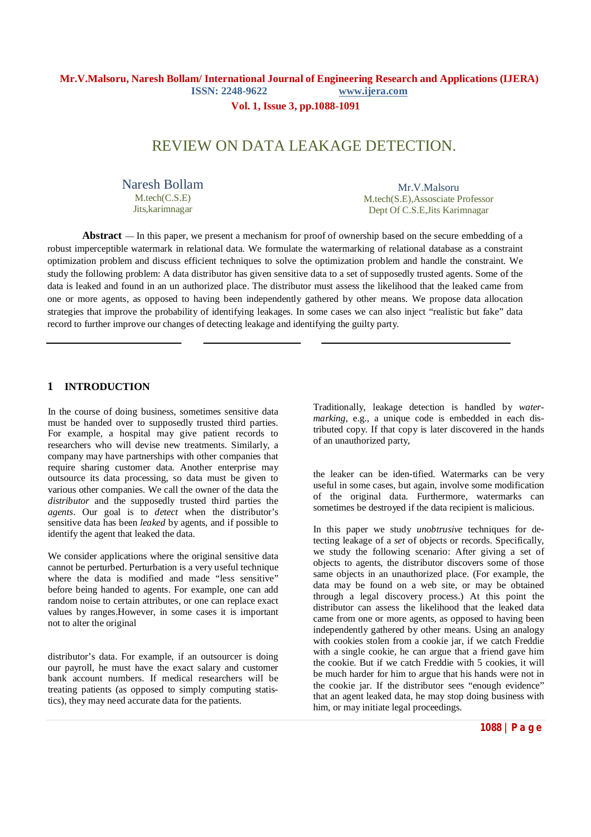**Vol. 1, Issue 3, pp.1088-1091**

# REVIEW ON DATA LEAKAGE DETECTION.

Naresh Bollam M.tech(C.S.E) Jits,karimnagar

Mr.V.Malsoru M.tech(S.E),Assosciate Professor Dept Of C.S.E,Jits Karimnagar

**Abstract** — In this paper, we present a mechanism for proof of ownership based on the secure embedding of a robust imperceptible watermark in relational data. We formulate the watermarking of relational database as a constraint optimization problem and discuss efficient techniques to solve the optimization problem and handle the constraint. We study the following problem: A data distributor has given sensitive data to a set of supposedly trusted agents. Some of the data is leaked and found in an un authorized place. The distributor must assess the likelihood that the leaked came from one or more agents, as opposed to having been independently gathered by other means. We propose data allocation strategies that improve the probability of identifying leakages. In some cases we can also inject "realistic but fake" data record to further improve our changes of detecting leakage and identifying the guilty party.

# **1 INTRODUCTION**

In the course of doing business, sometimes sensitive data must be handed over to supposedly trusted third parties. For example, a hospital may give patient records to researchers who will devise new treatments. Similarly, a company may have partnerships with other companies that require sharing customer data. Another enterprise may outsource its data processing, so data must be given to various other companies. We call the owner of the data the *distributor* and the supposedly trusted third parties the *agents*. Our goal is to *detect* when the distributor's sensitive data has been *leaked* by agents, and if possible to identify the agent that leaked the data.

We consider applications where the original sensitive data cannot be perturbed. Perturbation is a very useful technique where the data is modified and made "less sensitive" before being handed to agents. For example, one can add random noise to certain attributes, or one can replace exact values by ranges.However, in some cases it is important not to alter the original

distributor's data. For example, if an outsourcer is doing our payroll, he must have the exact salary and customer bank account numbers. If medical researchers will be treating patients (as opposed to simply computing statistics), they may need accurate data for the patients.

Traditionally, leakage detection is handled by *watermarking*, e.g., a unique code is embedded in each distributed copy. If that copy is later discovered in the hands of an unauthorized party,

the leaker can be iden-tified. Watermarks can be very useful in some cases, but again, involve some modification of the original data. Furthermore, watermarks can sometimes be destroyed if the data recipient is malicious.

In this paper we study *unobtrusive* techniques for detecting leakage of a *set* of objects or records. Specifically, we study the following scenario: After giving a set of objects to agents, the distributor discovers some of those same objects in an unauthorized place. (For example, the data may be found on a web site, or may be obtained through a legal discovery process.) At this point the distributor can assess the likelihood that the leaked data came from one or more agents, as opposed to having been independently gathered by other means. Using an analogy with cookies stolen from a cookie jar, if we catch Freddie with a single cookie, he can argue that a friend gave him the cookie. But if we catch Freddie with 5 cookies, it will be much harder for him to argue that his hands were not in the cookie jar. If the distributor sees "enough evidence" that an agent leaked data, he may stop doing business with him, or may initiate legal proceedings.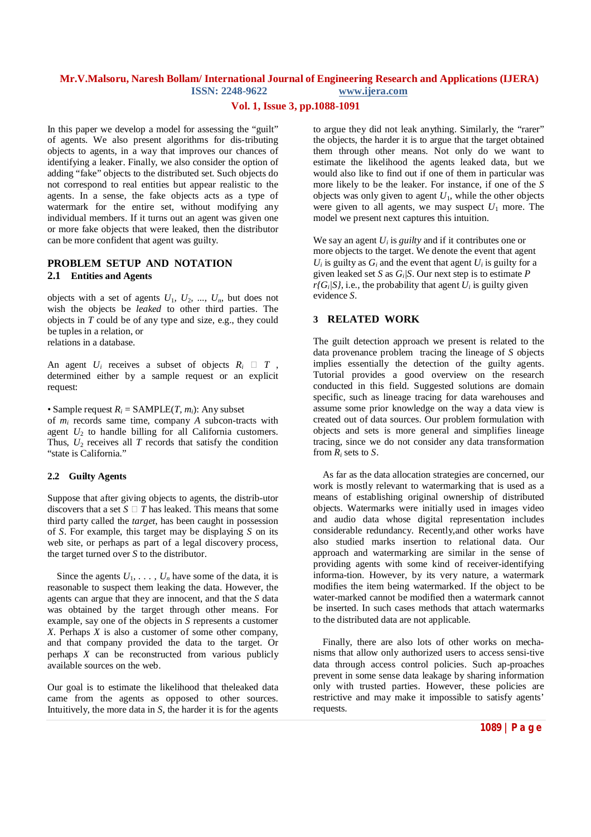#### **Vol. 1, Issue 3, pp.1088-1091**

In this paper we develop a model for assessing the "guilt" of agents. We also present algorithms for dis-tributing objects to agents, in a way that improves our chances of identifying a leaker. Finally, we also consider the option of adding "fake" objects to the distributed set. Such objects do not correspond to real entities but appear realistic to the agents. In a sense, the fake objects acts as a type of watermark for the entire set, without modifying any individual members. If it turns out an agent was given one or more fake objects that were leaked, then the distributor can be more confident that agent was guilty.

# **PROBLEM SETUP AND NOTATION**

**2.1 Entities and Agents**

objects with a set of agents  $U_1$ ,  $U_2$ , ...,  $U_n$ , but does not wish the objects be *leaked* to other third parties. The objects in *T* could be of any type and size, e.g., they could be tuples in a relation, or relations in a database.

An agent  $U_i$  receives a subset of objects  $R_i \square T$ , determined either by a sample request or an explicit request:

• Sample request  $R_i$  = SAMPLE(*T*,  $m_i$ ): Any subset of *m<sup>i</sup>* records same time, company *A* subcon-tracts with agent  $U_2$  to handle billing for all California customers. Thus,  $U_2$  receives all *T* records that satisfy the condition "state is California."

#### **2.2 Guilty Agents**

Suppose that after giving objects to agents, the distrib-utor discovers that a set  $S \square T$  has leaked. This means that some third party called the *target*, has been caught in possession of *S*. For example, this target may be displaying *S* on its web site, or perhaps as part of a legal discovery process, the target turned over *S* to the distributor.

Since the agents  $U_1, \ldots, U_n$  have some of the data, it is reasonable to suspect them leaking the data. However, the agents can argue that they are innocent, and that the *S* data was obtained by the target through other means. For example, say one of the objects in *S* represents a customer *X*. Perhaps *X* is also a customer of some other company, and that company provided the data to the target. Or perhaps *X* can be reconstructed from various publicly available sources on the web.

Our goal is to estimate the likelihood that theleaked data came from the agents as opposed to other sources. Intuitively, the more data in *S*, the harder it is for the agents to argue they did not leak anything. Similarly, the "rarer" the objects, the harder it is to argue that the target obtained them through other means. Not only do we want to estimate the likelihood the agents leaked data, but we would also like to find out if one of them in particular was more likely to be the leaker. For instance, if one of the *S* objects was only given to agent  $U_1$ , while the other objects were given to all agents, we may suspect  $U_1$  more. The model we present next captures this intuition.

We say an agent  $U_i$  is *guilty* and if it contributes one or more objects to the target. We denote the event that agent  $U_i$  is guilty as  $G_i$  and the event that agent  $U_i$  is guilty for a given leaked set *S* as *G<sup>i</sup> |S*. Our next step is to estimate *P*   $r\{G_i/S\}$ , i.e., the probability that agent  $U_i$  is guilty given evidence *S*.

#### **3 RELATED WORK**

The guilt detection approach we present is related to the data provenance problem tracing the lineage of *S* objects implies essentially the detection of the guilty agents. Tutorial provides a good overview on the research conducted in this field. Suggested solutions are domain specific, such as lineage tracing for data warehouses and assume some prior knowledge on the way a data view is created out of data sources. Our problem formulation with objects and sets is more general and simplifies lineage tracing, since we do not consider any data transformation from  $\overline{R_i}$  sets to  $S$ .

As far as the data allocation strategies are concerned, our work is mostly relevant to watermarking that is used as a means of establishing original ownership of distributed objects. Watermarks were initially used in images video and audio data whose digital representation includes considerable redundancy. Recently,and other works have also studied marks insertion to relational data. Our approach and watermarking are similar in the sense of providing agents with some kind of receiver-identifying informa-tion. However, by its very nature, a watermark modifies the item being watermarked. If the object to be water-marked cannot be modified then a watermark cannot be inserted. In such cases methods that attach watermarks to the distributed data are not applicable.

Finally, there are also lots of other works on mechanisms that allow only authorized users to access sensi-tive data through access control policies. Such ap-proaches prevent in some sense data leakage by sharing information only with trusted parties. However, these policies are restrictive and may make it impossible to satisfy agents' requests.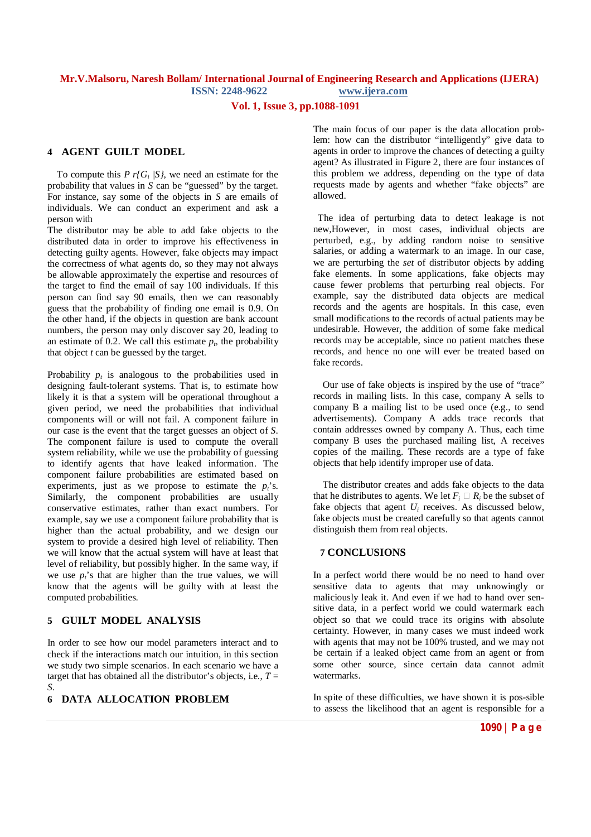**Vol. 1, Issue 3, pp.1088-1091**

# **4 AGENT GUILT MODEL**

To compute this *P r{G<sub>i</sub>*  $/S$ *}*, we need an estimate for the probability that values in *S* can be "guessed" by the target. For instance, say some of the objects in *S* are emails of individuals. We can conduct an experiment and ask a person with

The distributor may be able to add fake objects to the distributed data in order to improve his effectiveness in detecting guilty agents. However, fake objects may impact the correctness of what agents do, so they may not always be allowable approximately the expertise and resources of the target to find the email of say 100 individuals. If this person can find say 90 emails, then we can reasonably guess that the probability of finding one email is 0.9. On the other hand, if the objects in question are bank account numbers, the person may only discover say 20, leading to an estimate of 0.2. We call this estimate  $p<sub>t</sub>$ , the probability that object *t* can be guessed by the target.

Probability  $p_t$  is analogous to the probabilities used in designing fault-tolerant systems. That is, to estimate how likely it is that a system will be operational throughout a given period, we need the probabilities that individual components will or will not fail. A component failure in our case is the event that the target guesses an object of *S*. The component failure is used to compute the overall system reliability, while we use the probability of guessing to identify agents that have leaked information. The component failure probabilities are estimated based on experiments, just as we propose to estimate the  $p_t$ 's. Similarly, the component probabilities are usually conservative estimates, rather than exact numbers. For example, say we use a component failure probability that is higher than the actual probability, and we design our system to provide a desired high level of reliability. Then we will know that the actual system will have at least that level of reliability, but possibly higher. In the same way, if we use  $p_t$ 's that are higher than the true values, we will know that the agents will be guilty with at least the computed probabilities.

#### **5 GUILT MODEL ANALYSIS**

In order to see how our model parameters interact and to check if the interactions match our intuition, in this section we study two simple scenarios. In each scenario we have a target that has obtained all the distributor's objects, i.e.,  $T =$ *S*.

**6 DATA ALLOCATION PROBLEM**

The main focus of our paper is the data allocation problem: how can the distributor "intelligently" give data to agents in order to improve the chances of detecting a guilty agent? As illustrated in Figure 2, there are four instances of this problem we address, depending on the type of data requests made by agents and whether "fake objects" are allowed.

 The idea of perturbing data to detect leakage is not new,However, in most cases, individual objects are perturbed, e.g., by adding random noise to sensitive salaries, or adding a watermark to an image. In our case, we are perturbing the *set* of distributor objects by adding fake elements. In some applications, fake objects may cause fewer problems that perturbing real objects. For example, say the distributed data objects are medical records and the agents are hospitals. In this case, even small modifications to the records of actual patients may be undesirable. However, the addition of some fake medical records may be acceptable, since no patient matches these records, and hence no one will ever be treated based on fake records.

 Our use of fake objects is inspired by the use of "trace" records in mailing lists. In this case, company A sells to company B a mailing list to be used once (e.g., to send advertisements). Company A adds trace records that contain addresses owned by company A. Thus, each time company B uses the purchased mailing list, A receives copies of the mailing. These records are a type of fake objects that help identify improper use of data.

The distributor creates and adds fake objects to the data that he distributes to agents. We let  $F_i \square R_i$  be the subset of fake objects that agent  $U_i$  receives. As discussed below, fake objects must be created carefully so that agents cannot distinguish them from real objects.

#### **7 CONCLUSIONS**

In a perfect world there would be no need to hand over sensitive data to agents that may unknowingly or maliciously leak it. And even if we had to hand over sensitive data, in a perfect world we could watermark each object so that we could trace its origins with absolute certainty. However, in many cases we must indeed work with agents that may not be 100% trusted, and we may not be certain if a leaked object came from an agent or from some other source, since certain data cannot admit watermarks.

In spite of these difficulties, we have shown it is pos-sible to assess the likelihood that an agent is responsible for a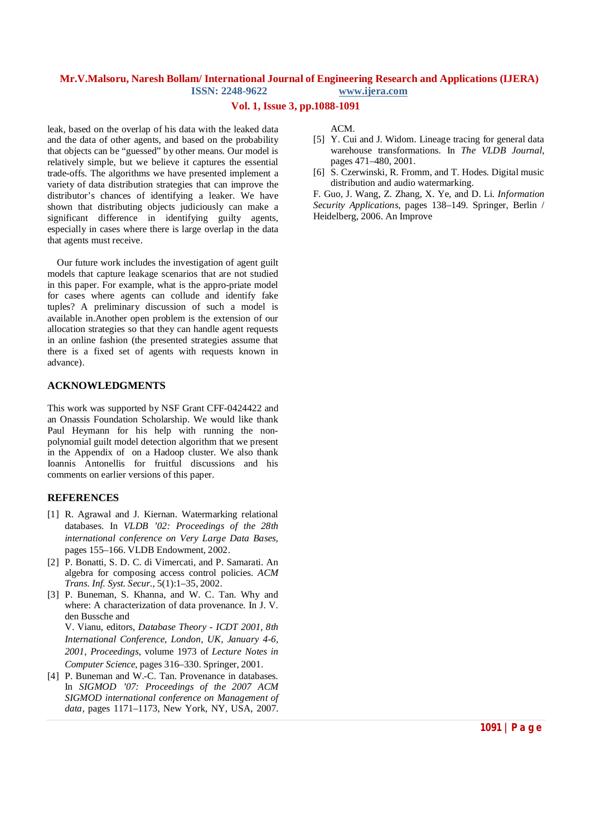#### **Vol. 1, Issue 3, pp.1088-1091**

leak, based on the overlap of his data with the leaked data and the data of other agents, and based on the probability that objects can be "guessed" by other means. Our model is relatively simple, but we believe it captures the essential trade-offs. The algorithms we have presented implement a variety of data distribution strategies that can improve the distributor's chances of identifying a leaker. We have shown that distributing objects judiciously can make a significant difference in identifying guilty agents, especially in cases where there is large overlap in the data that agents must receive.

Our future work includes the investigation of agent guilt models that capture leakage scenarios that are not studied in this paper. For example, what is the appro-priate model for cases where agents can collude and identify fake tuples? A preliminary discussion of such a model is available in.Another open problem is the extension of our allocation strategies so that they can handle agent requests in an online fashion (the presented strategies assume that there is a fixed set of agents with requests known in advance).

### **ACKNOWLEDGMENTS**

This work was supported by NSF Grant CFF-0424422 and an Onassis Foundation Scholarship. We would like thank Paul Heymann for his help with running the nonpolynomial guilt model detection algorithm that we present in the Appendix of on a Hadoop cluster. We also thank Ioannis Antonellis for fruitful discussions and his comments on earlier versions of this paper.

### **REFERENCES**

- [1] R. Agrawal and J. Kiernan. Watermarking relational databases. In *VLDB '02: Proceedings of the 28th international conference on Very Large Data Bases*, pages 155–166. VLDB Endowment, 2002.
- [2] P. Bonatti, S. D. C. di Vimercati, and P. Samarati. An algebra for composing access control policies. *ACM Trans. Inf. Syst. Secur.*, 5(1):1–35, 2002.
- [3] P. Buneman, S. Khanna, and W. C. Tan. Why and where: A characterization of data provenance. In J. V. den Bussche and V. Vianu, editors, *Database Theory - ICDT 2001, 8th International Conference, London, UK, January 4-6,*

*2001, Proceedings*, volume 1973 of *Lecture Notes in Computer Science*, pages 316–330. Springer, 2001.

[4] P. Buneman and W.-C. Tan. Provenance in databases. In *SIGMOD '07: Proceedings of the 2007 ACM SIGMOD international conference on Management of data*, pages 1171–1173, New York, NY, USA, 2007.

ACM.

- [5] Y. Cui and J. Widom. Lineage tracing for general data warehouse transformations. In *The VLDB Journal*, pages 471–480, 2001.
- [6] S. Czerwinski, R. Fromm, and T. Hodes. Digital music distribution and audio watermarking.

F. Guo, J. Wang, Z. Zhang, X. Ye, and D. Li. *Information Security Applications*, pages 138–149. Springer, Berlin / Heidelberg, 2006. An Improve